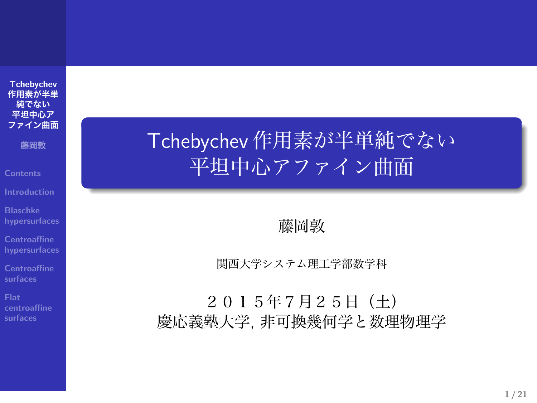**Tchebychev 作用素が半単 純でない 平坦中心ア ファイン曲面**

**藤岡敦**

**Blaschke hypersurfaces**

**Centroaffine hypersurfaces**

**Centroaffine surfaces**

**Flat centroaffine surfaces**

# Tchebychev 作用素が半単純でない 平坦中心アファイン曲面

藤岡敦

関西大学システム理工学部数学科

2015年7月25日(土) 慶応義塾大学, 非可換幾何学と数理物理学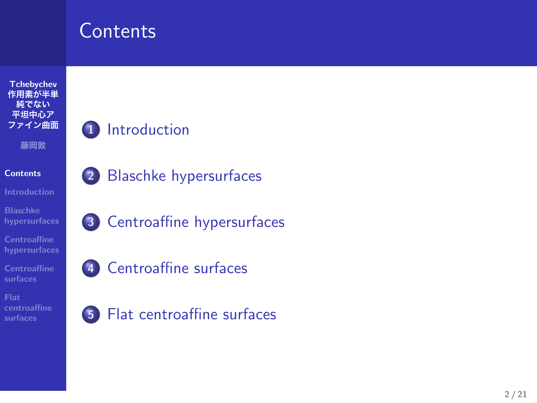# **Contents**



- **1** Introduction
- **2** Blaschke hypersurfaces
- **3** Centroaffine hypersurfaces



**5** Flat centroaffine surfaces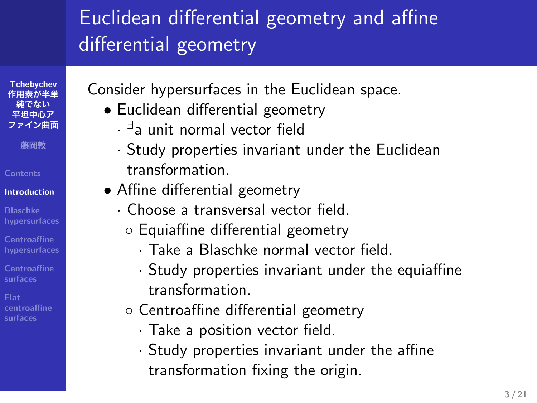#### Euclidean differential geometry and affine differential geometry

**Tchebychev 作用素が半単 純でない 平坦中心ア ファイン曲面**

**藤岡敦**

**Contents**

**Introduction**

**Blaschke hypersurfaces**

**Centroaffine hypersurfaces**

**Centroaffine surfaces**

**centroaffine surfaces**

- Consider hypersurfaces in the Euclidean space.
	- *•* Euclidean differential geometry
		- *· ∃* a unit normal vector field
		- *·* Study properties invariant under the Euclidean transformation.
	- *•* Affine differential geometry
		- *·* Choose a transversal vector field.
		- *◦* Equiaffine differential geometry
			- *·* Take a Blaschke normal vector field.
			- *·* Study properties invariant under the equiaffine transformation.
		- *◦* Centroaffine differential geometry
			- *·* Take a position vector field.
			- *·* Study properties invariant under the affine transformation fixing the origin.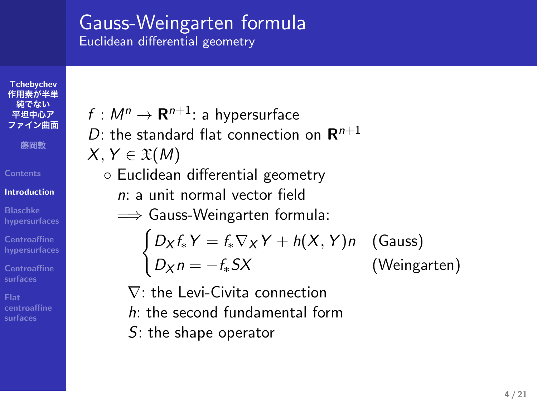#### Gauss-Weingarten formula Euclidean differential geometry

 $f : M^n \rightarrow \mathbf{R}^{n+1}$ : a hypersurface

**Tchebychev 作用素が半単 純でない 平坦中心ア ファイン曲面**

**藤岡敦**

**Contents**

**Introduction**

**Blaschke hypersurfaces Centroaffine hypersurfaces**

**Centroaffine surfaces**

**Flat centroaffine surfaces**

*D*: the standard flat connection on **R** *n*+1 *X, Y ∈* X(*M*) *◦* Euclidean differential geometry *n*: a unit normal vector field =*⇒* Gauss-Weingarten formula:  $\int D_X f_* Y = f_* \nabla_X Y + h(X, Y) n$  (Gauss)

*D<sup>X</sup> n* = *−f∗SX* (Weingarten)

*∇*: the Levi-Civita connection *h*: the second fundamental form

*S*: the shape operator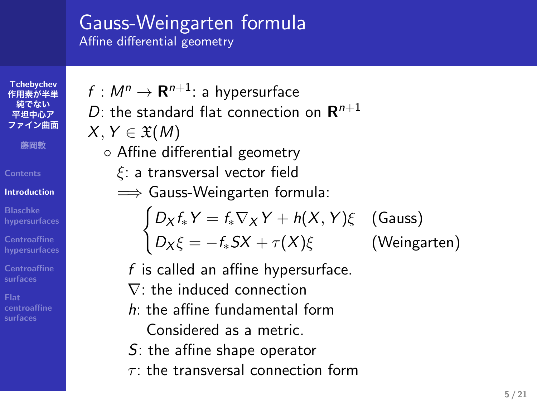# Gauss-Weingarten formula

 $f : M^n \rightarrow \mathbf{R}^{n+1}$ : a hypersurface

*◦* Affine differential geometry *ξ*: a transversal vector field =*⇒* Gauss-Weingarten formula:

*D*: the standard flat connection on **R** *n*+1

Affine differential geometry

*X, Y ∈* X(*M*)

**Tchebychev 作用素が半単 純でない 平坦中心ア ファイン曲面**

**藤岡敦**

**Contents Introduction**

**Blaschke hypersurfaces**

**Centroaffine hypersurfaces**

**Centroaffine surfaces**

**Flat centroaffine surfaces**

- *f* is called an affine hypersurface. *∇*: the induced connection *h*: the affine fundamental form
	- Considered as a metric.
	- *S*: the affine shape operator
	- *τ* : the transversal connection form

 $\int D_X f_* Y = f_* \nabla_X Y + h(X, Y) \xi$  (Gauss)

 $D_X \xi = -f_* S X + \tau(X) \xi$  (Weingarten)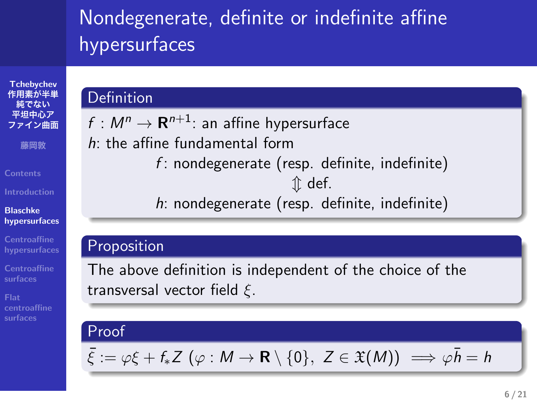#### Nondegenerate, definite or indefinite affine hypersurfaces

*f* : nondegenerate (resp. definite, indefinite) *⇕* def. *h*: nondegenerate (resp. definite, indefinite)

 $f : M^n \to \mathbf{R}^{n+1}$ : an affine hypersurface

*h*: the affine fundamental form

transversal vector field *ξ*.

#### **Tchebychev 作用素が半単 純でない 平坦中心ア イン曲面 藤岡敦 Contents**

Definition

Proposition

Proof

**Blaschke**

**hypersurfaces Centroaffine hypersurfaces**

**Centroaffine surfaces**

**Flat centroaffine surfaces**

 $\bar{\xi} := \varphi \xi + f_* Z \ (\varphi : M \to \mathbf{R} \setminus \{0\}, Z \in \mathfrak{X}(M)) \implies \varphi \bar{h} = h$ 

The above definition is independent of the choice of the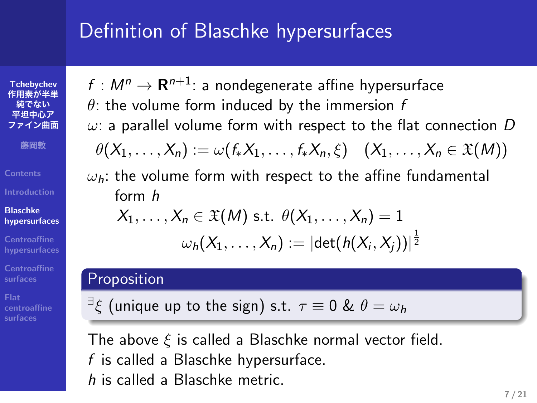# Definition of Blaschke hypersurfaces

 $f : M^n \rightarrow \mathbf{R}^{n+1}$ : a nondegenerate affine hypersurface *θ*: the volume form induced by the immersion *f*

*ω*: a parallel volume form with respect to the flat connection *D*  $\theta(X_1, \ldots, X_n) := \omega(f_*X_1, \ldots, f_*X_n, \xi) \quad (X_1, \ldots, X_n \in \mathfrak{X}(M))$ *ωh*: the volume form with respect to the affine fundamental

 $\omega_h(X_1,\ldots,X_n):=|\mathrm{det}(h(X_i,X_j))|^{\frac{1}{2}}$ 

**Tchebychev 作用素が半単 純でない 平坦中心ア ファイン曲面 藤岡敦**

**Blaschke hypersurfaces** form *h*

Proposition

**Centroaffine hypersurfaces Centroaffine surfaces**

**centroaffine surfaces**

The above *ξ* is called a Blaschke normal vector field. *f* is called a Blaschke hypersurface. *h* is called a Blaschke metric.

*∃ ξ* (unique up to the sign) s.t. *τ ≡* 0 & *θ* = *ω<sup>h</sup>*

 $X_1, \ldots, X_n \in \mathfrak{X}(M)$  s.t.  $\theta(X_1, \ldots, X_n) = 1$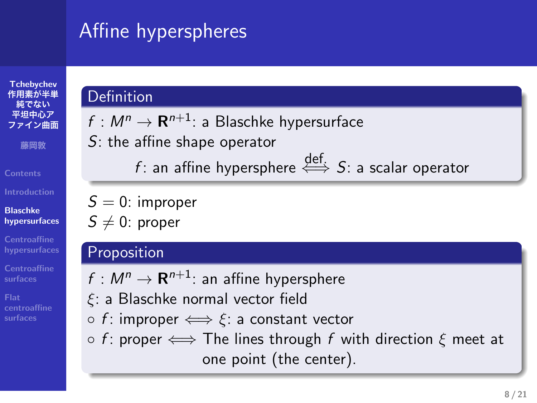## Affine hyperspheres

*S*: the affine shape operator

 $f : M^n \rightarrow \mathbf{R}^{n+1}$ : a Blaschke hypersurface

**Definition** 

*S* = 0: improper  $S \neq 0$ : proper

**Proposition** 

#### **Tchebychev 作用素が半単 純でない 平坦中心ア** · イン曲面 **藤岡敦 Contents Blaschke hypersurfaces Centroaffine hypersurfaces**

**Centroaffine surfaces**

**Flat centroaffine surfaces**

 $f : M^n \to \mathbf{R}^{n+1}$ : an affine hypersphere *ξ*: a Blaschke normal vector field *◦ f* : improper *⇐⇒ ξ*: a constant vector *◦ f* : proper *⇐⇒* The lines through *f* with direction *ξ* meet at one point (the center).

*<sup>f</sup>* : an affine hypersphere def. *⇐⇒ S*: a scalar operator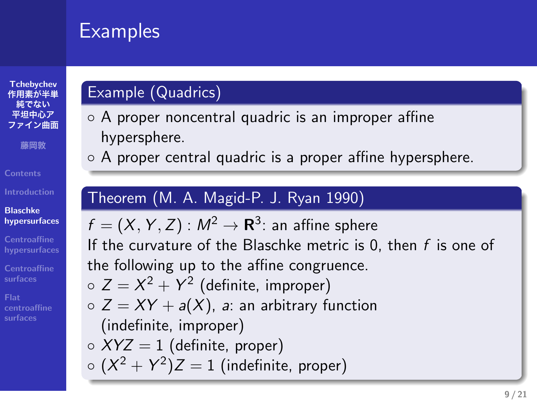#### **Examples**

#### **Tchebychev 作用素が半単 純でない 平坦中心ア イン曲面 藤岡敦 Contents**

**Blaschke hypersurfaces Centroaffine hypersurfaces**

**centroaffine surfaces**

#### Example (Quadrics)

- *◦* A proper noncentral quadric is an improper affine hypersphere.
- *◦* A proper central quadric is a proper affine hypersphere.

#### Theorem (M. A. Magid-P. J. Ryan 1990)

 $f = (X, Y, Z) : M^2 \rightarrow \mathbf{R}^3$ : an affine sphere If the curvature of the Blaschke metric is 0, then *f* is one of the following up to the affine congruence. *◦ Z* = *X* <sup>2</sup> + *Y* 2 (definite, improper) *◦ Z* = *XY* + *a*(*X*), *a*: an arbitrary function (indefinite, improper) *◦ XYZ* = 1 (definite, proper) *◦* (*X* <sup>2</sup> + *Y* 2 )*Z* = 1 (indefinite, proper)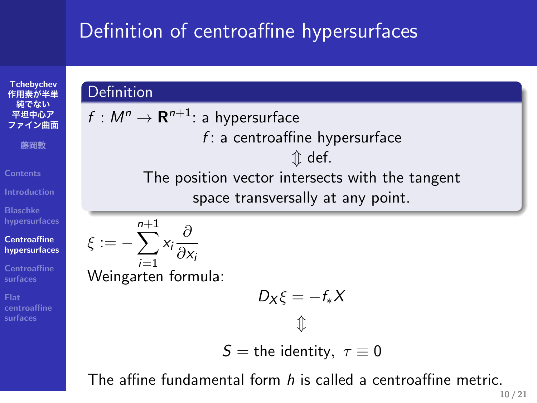## Definition of centroaffine hypersurfaces

#### **Tchebychev 作用素が半単 純でない 平坦中心ア ファイン曲面 藤岡敦 Contents Blaschke hypersurfaces**

**Centroaffine hypersurfaces**

**Centroaffine surfaces Flat centroaffine surfaces**

**Definition** 

 $f : M^n \rightarrow \mathbf{R}^{n+1}$ : a hypersurface *f* : a centroaffine hypersurface *⇕* def. The position vector intersects with the tangent space transversally at any point. *ξ* := *−* ∑*n*+1 *i*=1 *xi ∂ ∂x<sup>i</sup>* Weingarten formula:

$$
D_X \xi = -f_*X
$$

*S* = the identity,  $\tau \equiv 0$ 

The affine fundamental form *h* is called a centroaffine metric.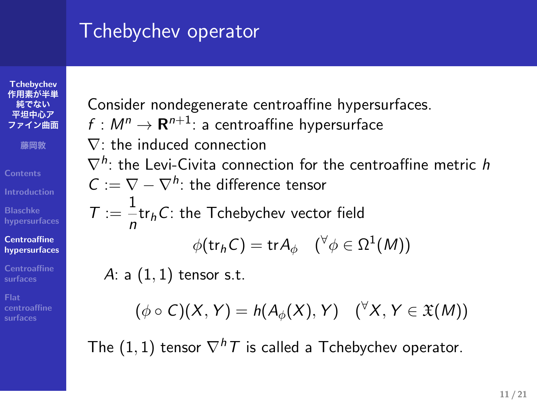## Tchebychev operator

**Tchebychev 作用素が半単 純でない 平坦中心ア ファイン曲面 藤岡敦 Contents Blaschke hypersurfaces Centroaffine hypersurfaces Centroaffine surfaces**

**Flat centroaffine surfaces**

Consider nondegenerate centroaffine hypersurfaces.

 $f : M^n \to \mathbf{R}^{n+1}$ : a centroaffine hypersurface

*∇*: the induced connection

*∇<sup>h</sup>* : the Levi-Civita connection for the centroaffine metric *h*

*C* := *∇ − ∇<sup>h</sup>* : the difference tensor

 $T := \frac{1}{1}$ *n* tr*hC*: the Tchebychev vector field

 $\phi(\mathsf{tr}_h \mathsf{C}) = \mathsf{tr} A_\phi \quad (^\forall \phi \in \Omega^1(M))$ 

*A*: a (1*,* 1) tensor s.t.

$$
(\phi \circ C)(X, Y) = h(A_{\phi}(X), Y) \quad (\forall X, Y \in \mathfrak{X}(M))
$$

The (1*,* 1) tensor *∇hT* is called a Tchebychev operator.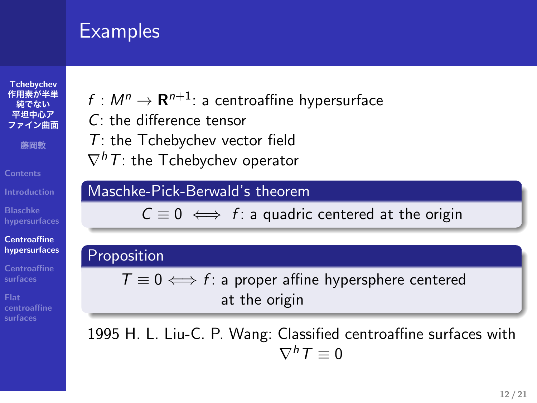#### **Examples**

# **Flat centroaffine surfaces**

- $f : M^n \rightarrow \mathbf{R}^{n+1}$ : a centroaffine hypersurface
- *C*: the difference tensor
- *T*: the Tchebychev vector field
- *∇hT*: the Tchebychev operator

#### Maschke-Pick-Berwald's theorem

*C ≡* 0 *⇐⇒ f* : a quadric centered at the origin

#### Proposition

*T ≡* 0 *⇐⇒ f* : a proper affine hypersphere centered at the origin

1995 H. L. Liu-C. P. Wang: Classified centroaffine surfaces with  $\nabla^h T \equiv 0$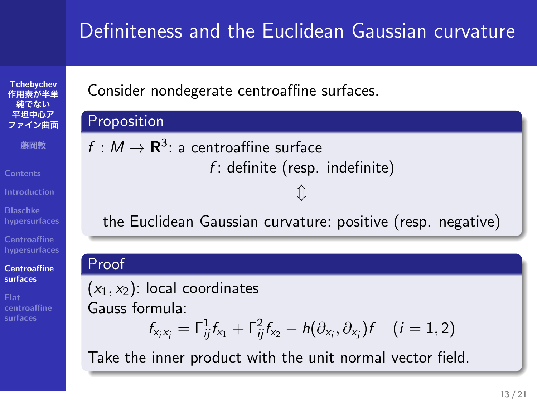#### Definiteness and the Euclidean Gaussian curvature

*f* : definite (resp. indefinite) *⇕*

the Euclidean Gaussian curvature: positive (resp. negative)

Consider nondegerate centroaffine surfaces.

 $f: M \to \mathbf{R}^3$ : a centroaffine surface

**Tchebychev 作用素が半単 純でない 平坦中心ア イン曲 藤岡敦 Contents Blaschke hypersurfaces**

Proposition

Proof

**Centroaffine hypersurfaces Centroaffine surfaces**

**Flat centroaffine surfaces**

 $(x_1, x_2)$ : local coordinates Gauss formula:  $f_{x_i x_j} = \Gamma_{ij}^1 f_{x_1} + \Gamma_{ij}^2 f_{x_2} - h(\partial_{x_i}, \partial_{x_j}) f$  (*i* = 1, 2)

Take the inner product with the unit normal vector field.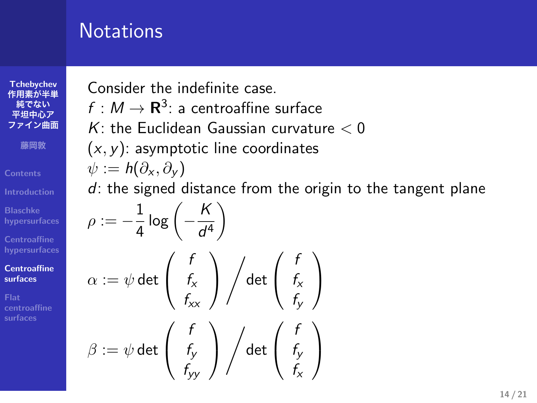## **Notations**

**Tchebychev 作用素が半単 純でない 平坦中心ア ファイン曲面 藤岡敦 Blaschke hypersurfaces Centroaffine hypersurfaces Centroaffine surfaces Flat centroaffine surfaces**

Consider the indefinite case.

 $f : M \to \mathbf{R}^3$ : a centroaffine surface

*K*: the Euclidean Gaussian curvature *<* 0

(*x, y*): asymptotic line coordinates

$$
\psi:=\mathsf{h}(\partial_{\mathsf{x}},\partial_{\mathsf{y}})
$$

*d*: the signed distance from the origin to the tangent plane

$$
\rho := -\frac{1}{4} \log \left( -\frac{K}{d^4} \right)
$$
\n
$$
\alpha := \psi \det \left( \begin{array}{c} f \\ f_x \\ f_{xx} \end{array} \right) / \det \left( \begin{array}{c} f \\ f_x \\ f_y \end{array} \right)
$$
\n
$$
\beta := \psi \det \left( \begin{array}{c} f \\ f_y \\ f_{yy} \end{array} \right) / \det \left( \begin{array}{c} f \\ f_y \\ f_x \end{array} \right)
$$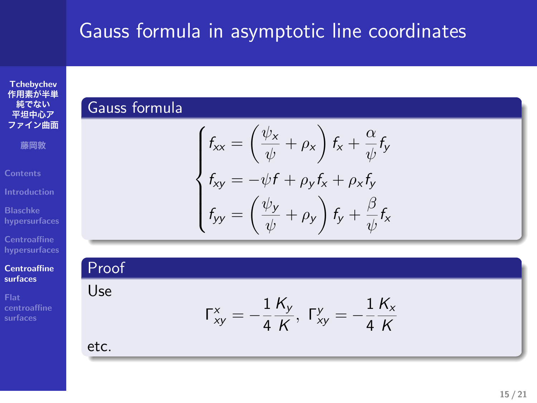# Gauss formula in asymptotic line coordinates

**Tchebychev 作用素が半単 純でない 平坦中心ア ファイン曲面**

**藤岡敦**

**Contents**

**Blaschke hypersurfaces**

**Centroaffine hypersurfaces**

**Centroaffine surfaces Flat centroaffine surfaces**

$$
\Gamma_{xy}^x = -\frac{1}{4} \frac{K_y}{K}, \ \Gamma_{xy}^y = -\frac{1}{4} \frac{K_x}{K}
$$

 $f_{xy} = -\psi f + \rho_y f_x + \rho_x f_y$ 

 $\frac{\psi_x}{\psi} + \rho_x \bigg) f_x + \frac{\alpha}{\psi}$ 

 $\frac{\psi_y}{\psi} + \rho_y \bigg) f_y + \frac{\beta}{\psi}$ 

*ψ fy*

*ψ fx*

etc.

Proof Use

Gauss formula

 $\sqrt{ }$  $\int$ 

 $f_{xx} = \left(\frac{\psi_x}{\psi_y}\right)$ 

 $f_{yy} = \left(\frac{\psi_y}{\psi_y}\right)$ 

 $\overline{\mathcal{L}}$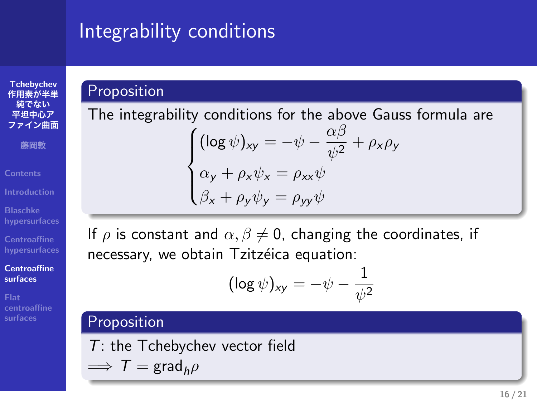## Integrability conditions

**Tchebychev 作用素が半単 純でない 平坦中心ア ファイン曲面**

**藤岡敦**

**Contents**

**Blaschke hypersurfaces Centroaffine hypersurfaces**

**Centroaffine surfaces**

**Flat centroaffine surfaces**

Proposition

 $\sqrt{ }$ 

The integrability conditions for the above Gauss formula are  $\int$  $\overline{\mathcal{L}}$  $(\log \psi)_{xy} = -\psi - \frac{\alpha\beta}{\mu^2}$  $\frac{\partial \mu}{\partial y^2} + \rho_x \rho_y$ *α*<sub>*y*</sub> + *ρ<sub><i>x*</sub></sub> $\psi$ *x* = *ρ<sub><i>xx*</sub> $\psi$ </sub> *β<sup>x</sup>* + *ρyψ<sup>y</sup>* = *ρyyψ*

If  $\rho$  is constant and  $\alpha, \beta \neq 0$ , changing the coordinates, if necessary, we obtain Tzitzéica equation:

$$
(\log \psi)_{xy} = -\psi - \frac{1}{\psi^2}
$$

Proposition *T*: the Tchebychev vector field  $\implies$   $T = \text{grad}_h \rho$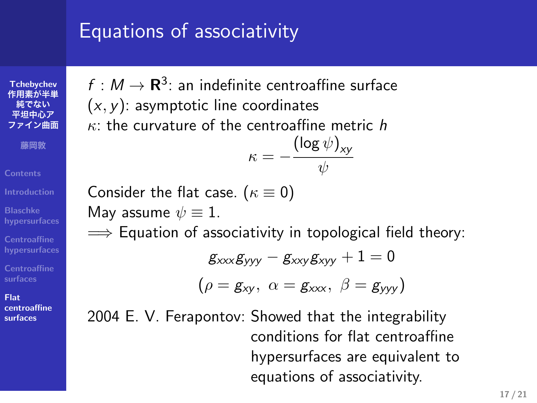## Equations of associativity

**Tchebychev 作用素が半単 純でない 平坦中心ア イン曲面 藤岡敦 Contents Blaschke hypersurfaces**

**Centroaffine hypersurfaces Centroaffine surfaces**

**Flat centroaffine surfaces**

 $f : M \to \mathbf{R}^3$ : an indefinite centroaffine surface (*x, y*): asymptotic line coordinates *κ*: the curvature of the centroaffine metric *h*

$$
\kappa = -\frac{(\log \psi)_{xy}}{\psi}
$$

Consider the flat case. (*κ ≡* 0) May assume  $\psi \equiv 1$ . =*⇒* Equation of associativity in topological field theory:

$$
g_{xxx}g_{yyy}-g_{xxy}g_{xyy}+1=0\\
$$

$$
(\rho = \textit{g}_{xy}, \,\, \alpha = \textit{g}_{xxx}, \,\, \beta = \textit{g}_{yyy})
$$

2004 E. V. Ferapontov: Showed that the integrability conditions for flat centroaffine hypersurfaces are equivalent to equations of associativity.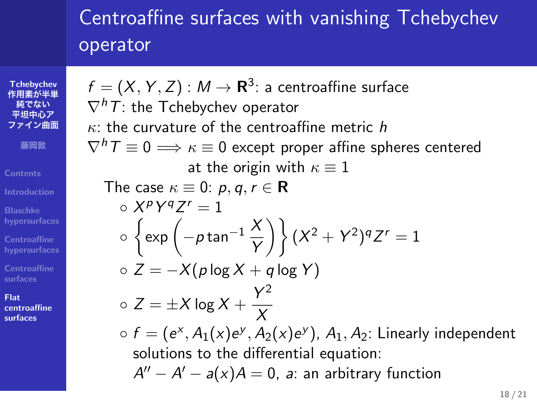#### Centroaffine surfaces with vanishing Tchebychev operator

 $f = (X, Y, Z) : M \rightarrow \mathbf{R}^3$ : a centroaffine surface

**Tchebychev 作用素が半単 純でない 平坦中心ア ファイン曲面 藤岡敦 Contents**

**Introduction**

**Centroaffine hypersurfaces**

**Flat centroaffine surfaces**

*∇hT*: the Tchebychev operator *κ*: the curvature of the centroaffine metric *h*  $\nabla^h T \equiv 0 \Longrightarrow \kappa \equiv 0$  except proper affine spheres centered at the origin with *κ ≡* 1 The case  $\kappa \equiv 0$ :  $p, q, r \in \mathbb{R}$  $\circ$   $X^pY^qZ^r = 1$ *◦* { exp ( *<sup>−</sup><sup>p</sup>* tan*−*<sup>1</sup> *<sup>X</sup> Y* )} (*<sup>X</sup>* <sup>2</sup> + *Y* 2 ) *qZ <sup>r</sup>* = 1 *◦ Z* = *−X*(*p* log *X* + *q* log *Y* ) *◦ Z* = *±X* log *X* + *Y* 2 *X* ○  $f = (e^x, A_1(x)e^y, A_2(x)e^y)$ ,  $A_1, A_2$ : Linearly independent solutions to the differential equation: *A ′′ − A ′ − a*(*x*)*A* = 0, *a*: an arbitrary function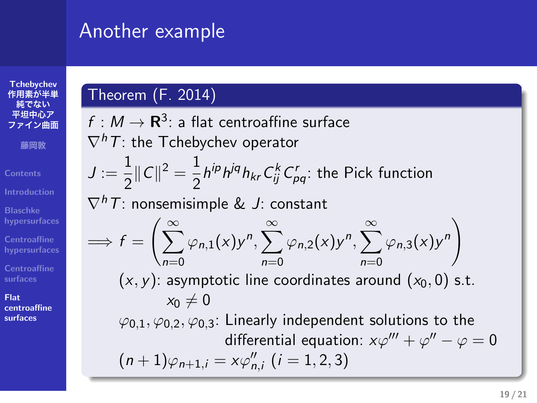#### Another example



**Centroaffine surfaces**

**Flat centroaffine surfaces**

Theorem (F. 2014)

 $f : M \to \mathbf{R}^3$ : a flat centroaffine surface *∇hT*: the Tchebychev operator  $J := \frac{1}{2}$  $\frac{1}{2}$ || C||<sup>2</sup> =  $\frac{1}{2}$  $\frac{1}{2}h^{ip}h^{jq}h_{kr}C^k_{ij}C^r_{pq}$ : the Pick function *∇hT*: nonsemisimple & *J*: constant =*⇒ f* = (∑*<sup>∞</sup> n*=0  $\varphi_{n,1}(x)$ *y*<sup>n</sup>,  $\sum_{n=1}^{\infty}$ *n*=0  $\varphi_{n,2}(x)$ *y*<sup>n</sup>,  $\sum_{n=1}^{\infty}$ *n*=0  $\varphi_{n,3}(x)y^n$  $(x, y)$ : asymptotic line coordinates around  $(x_0, 0)$  s.t.  $x_0 \neq 0$ *φ*0*,*1*, φ*0*,*2*, φ*0*,*3: Linearly independent solutions to the differential equation:  $x\varphi''' + \varphi'' - \varphi = 0$  $(n+1)\varphi_{n+1,i} = x\varphi''_{n,i}$   $(i = 1, 2, 3)$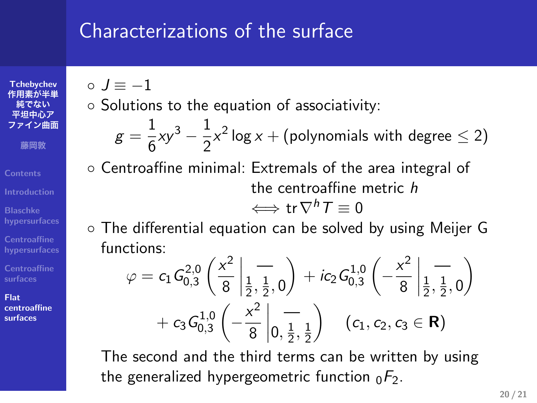#### Characterizations of the surface

**Tchebychev 作用素が半単 純でない 平坦中心ア ファイン曲面**

**藤岡敦**

**Contents Blaschke hypersurfaces**

**Centroaffine hypersurfaces Centroaffine surfaces**

**Flat centroaffine surfaces**

#### *◦ J ≡ −*1

*◦* Solutions to the equation of associativity: 1

$$
g = \frac{1}{6}xy^3 - \frac{1}{2}x^2 \log x + \text{(polynomials with degree } \leq 2\text{)}
$$

*◦* Centroaffine minimal: Extremals of the area integral of the centroaffine metric *h*

$$
\Longleftrightarrow \operatorname{tr} \nabla^h T \equiv 0
$$

*◦* The differential equation can be solved by using Meijer G functions:

$$
\varphi = c_1 G_{0,3}^{2,0} \left( \frac{x^2}{8} \left| \frac{1}{\frac{1}{2}, \frac{1}{2}, 0} \right) + ic_2 G_{0,3}^{1,0} \left( -\frac{x^2}{8} \left| \frac{1}{\frac{1}{2}, \frac{1}{2}, 0} \right) \right) + c_3 G_{0,3}^{1,0} \left( -\frac{x^2}{8} \left| \frac{1}{0, \frac{1}{2}, \frac{1}{2}} \right) \right) \quad (c_1, c_2, c_3 \in \mathbf{R})
$$

The second and the third terms can be written by using the generalized hypergeometric function  $_0F_2$ .